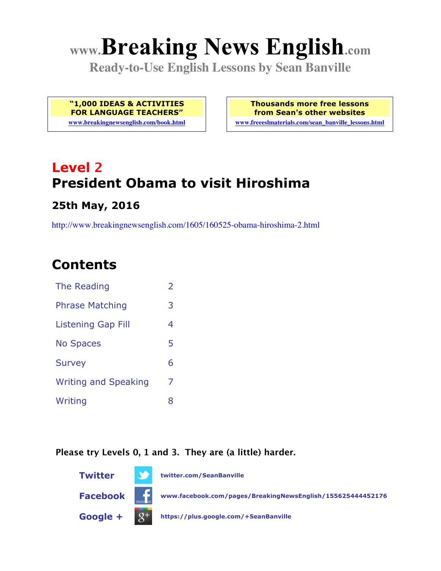# **www.Breaking News English.com**

**Ready-to-Use English Lessons by Sean Banville**

**"1,000 IDEAS & ACTIVITIES FOR LANGUAGE TEACHERS"**

**www.breakingnewsenglish.com/book.html**

**Thousands more free lessons from Sean's other websites www.freeeslmaterials.com/sean\_banville\_lessons.html**

**Level 2 President Obama to visit Hiroshima**

#### **25th May, 2016**

http://www.breakingnewsenglish.com/1605/160525-obama-hiroshima-2.html

## **Contents**

| The Reading                 | $\overline{2}$ |
|-----------------------------|----------------|
| <b>Phrase Matching</b>      | 3              |
| <b>Listening Gap Fill</b>   | 4              |
| <b>No Spaces</b>            | 5              |
| <b>Survey</b>               | 6              |
| <b>Writing and Speaking</b> | 7              |
| Writing                     | 8              |

#### **Please try Levels 0, 1 and 3. They are (a little) harder.**

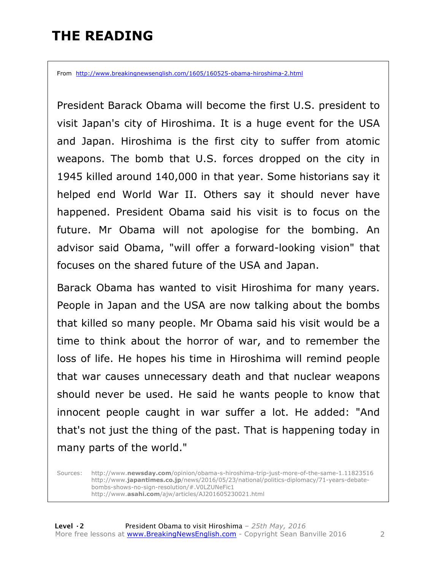# **THE READING**

From http://www.breakingnewsenglish.com/1605/160525-obama-hiroshima-2.html

President Barack Obama will become the first U.S. president to visit Japan's city of Hiroshima. It is a huge event for the USA and Japan. Hiroshima is the first city to suffer from atomic weapons. The bomb that U.S. forces dropped on the city in 1945 killed around 140,000 in that year. Some historians say it helped end World War II. Others say it should never have happened. President Obama said his visit is to focus on the future. Mr Obama will not apologise for the bombing. An advisor said Obama, "will offer a forward-looking vision" that focuses on the shared future of the USA and Japan.

Barack Obama has wanted to visit Hiroshima for many years. People in Japan and the USA are now talking about the bombs that killed so many people. Mr Obama said his visit would be a time to think about the horror of war, and to remember the loss of life. He hopes his time in Hiroshima will remind people that war causes unnecessary death and that nuclear weapons should never be used. He said he wants people to know that innocent people caught in war suffer a lot. He added: "And that's not just the thing of the past. That is happening today in many parts of the world."

Sources: http://www.**newsday.com**/opinion/obama-s-hiroshima-trip-just-more-of-the-same-1.11823516 http://www.**japantimes.co.jp**/news/2016/05/23/national/politics-diplomacy/71-years-debatebombs-shows-no-sign-resolution/#.V0LZUNeFic1 http://www.**asahi.com**/ajw/articles/AJ201605230021.html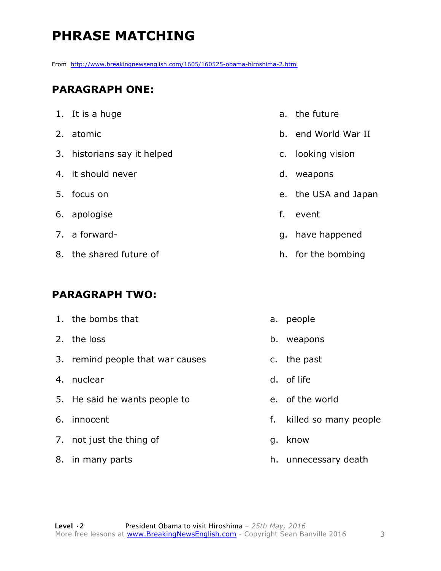# **PHRASE MATCHING**

From http://www.breakingnewsenglish.com/1605/160525-obama-hiroshima-2.html

#### **PARAGRAPH ONE:**

| 1. It is a huge             |    | a. the   |
|-----------------------------|----|----------|
| 2. atomic                   |    | b. end   |
| 3. historians say it helped |    | c. loo   |
| 4. it should never          |    | d. we    |
| 5. focus on                 |    | e. the   |
| 6. apologise                |    | $f.$ eve |
| 7. a forward-               | g. | ha       |
| 8. the shared future of     | h. | for      |

#### **PARAGRAPH TWO:**

| 1. the bombs that                |    | a. people             |
|----------------------------------|----|-----------------------|
| 2. the loss                      | b. | weapons               |
| 3. remind people that war causes |    | c. the past           |
| 4. nuclear                       |    | d. of life            |
| 5. He said he wants people to    |    | e. of the world       |
| 6. innocent                      | f. | killed so many people |
| 7. not just the thing of         | g. | know                  |
|                                  |    |                       |

8. in many parts

- the future
- d World War II
- king vision
- apons
- e USA and Japan
- ent
- ve happened
- the bombing

h. unnecessary death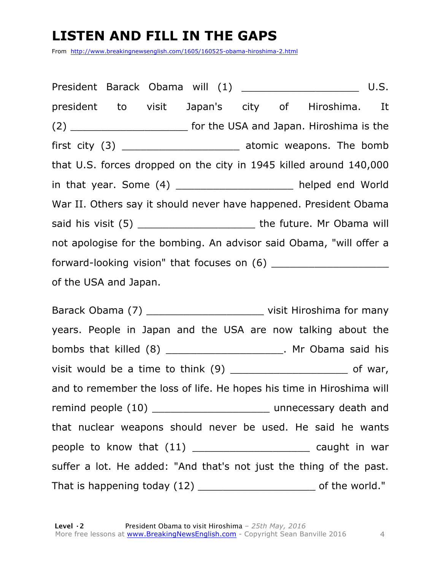# **LISTEN AND FILL IN THE GAPS**

From http://www.breakingnewsenglish.com/1605/160525-obama-hiroshima-2.html

President Barack Obama will (1) Designation of the U.S. president to visit Japan's city of Hiroshima. It (2) **Example 2 had the USA and Japan. Hiroshima is the** first city (3) \_\_\_\_\_\_\_\_\_\_\_\_\_\_\_\_\_\_\_\_\_\_\_ atomic weapons. The bomb that U.S. forces dropped on the city in 1945 killed around 140,000 in that year. Some (4) \_\_\_\_\_\_\_\_\_\_\_\_\_\_\_\_\_\_ helped end World War II. Others say it should never have happened. President Obama said his visit (5) \_\_\_\_\_\_\_\_\_\_\_\_\_\_\_\_\_\_\_ the future. Mr Obama will not apologise for the bombing. An advisor said Obama, "will offer a forward-looking vision" that focuses on (6) of the USA and Japan.

Barack Obama (7) \_\_\_\_\_\_\_\_\_\_\_\_\_\_\_\_\_\_\_\_\_\_\_\_\_\_ visit Hiroshima for many years. People in Japan and the USA are now talking about the bombs that killed (8) \_\_\_\_\_\_\_\_\_\_\_\_\_\_\_\_\_\_\_. Mr Obama said his visit would be a time to think (9) \_\_\_\_\_\_\_\_\_\_\_\_\_\_\_\_\_\_\_ of war, and to remember the loss of life. He hopes his time in Hiroshima will remind people (10) contains the method of the unnecessary death and that nuclear weapons should never be used. He said he wants people to know that (11) \_\_\_\_\_\_\_\_\_\_\_\_\_\_\_\_\_\_\_\_\_\_\_\_\_\_ caught in war suffer a lot. He added: "And that's not just the thing of the past. That is happening today (12) \_\_\_\_\_\_\_\_\_\_\_\_\_\_\_\_\_\_\_\_\_\_\_\_\_\_\_ of the world."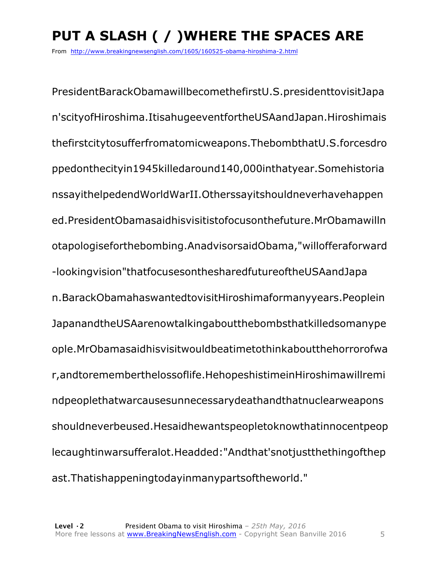# **PUT A SLASH ( / )WHERE THE SPACES ARE**

From http://www.breakingnewsenglish.com/1605/160525-obama-hiroshima-2.html

PresidentBarackObamawillbecomethefirstU.S.presidenttovisitJapa n'scityofHiroshima.ItisahugeeventfortheUSAandJapan.Hiroshimais thefirstcitytosufferfromatomicweapons.ThebombthatU.S.forcesdro ppedonthecityin1945killedaround140,000inthatyear.Somehistoria nssayithelpedendWorldWarII.Otherssayitshouldneverhavehappen ed.PresidentObamasaidhisvisitistofocusonthefuture.MrObamawilln otapologiseforthebombing.AnadvisorsaidObama,"willofferaforward -lookingvision"thatfocusesonthesharedfutureoftheUSAandJapa n.BarackObamahaswantedtovisitHiroshimaformanyyears.Peoplein JapanandtheUSAarenowtalkingaboutthebombsthatkilledsomanype ople.MrObamasaidhisvisitwouldbeatimetothinkaboutthehorrorofwa r,andtorememberthelossoflife.HehopeshistimeinHiroshimawillremi ndpeoplethatwarcausesunnecessarydeathandthatnuclearweapons shouldneverbeused.Hesaidhewantspeopletoknowthatinnocentpeop lecaughtinwarsufferalot.Headded:"Andthat'snotjustthethingofthep ast.Thatishappeningtodayinmanypartsoftheworld."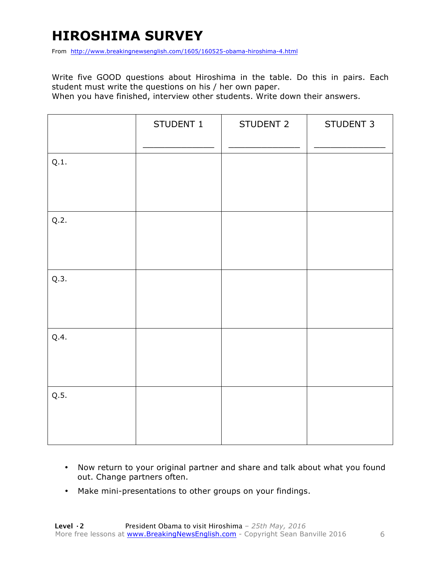# **HIROSHIMA SURVEY**

From http://www.breakingnewsenglish.com/1605/160525-obama-hiroshima-4.html

Write five GOOD questions about Hiroshima in the table. Do this in pairs. Each student must write the questions on his / her own paper.

When you have finished, interview other students. Write down their answers.

|      | STUDENT 1 | STUDENT 2 | STUDENT 3 |
|------|-----------|-----------|-----------|
| Q.1. |           |           |           |
| Q.2. |           |           |           |
| Q.3. |           |           |           |
| Q.4. |           |           |           |
| Q.5. |           |           |           |

- Now return to your original partner and share and talk about what you found out. Change partners often.
- Make mini-presentations to other groups on your findings.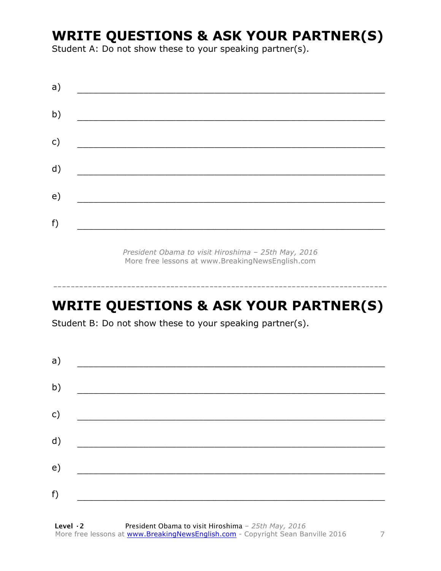### **WRITE QUESTIONS & ASK YOUR PARTNER(S)**

Student A: Do not show these to your speaking partner(s).

*President Obama to visit Hiroshima – 25th May, 2016* More free lessons at www.BreakingNewsEnglish.com

# **WRITE QUESTIONS & ASK YOUR PARTNER(S)**

-----------------------------------------------------------------------------

Student B: Do not show these to your speaking partner(s).

| a) |  |  |
|----|--|--|
| b) |  |  |
| c) |  |  |
| d) |  |  |
| e) |  |  |
| f) |  |  |
|    |  |  |